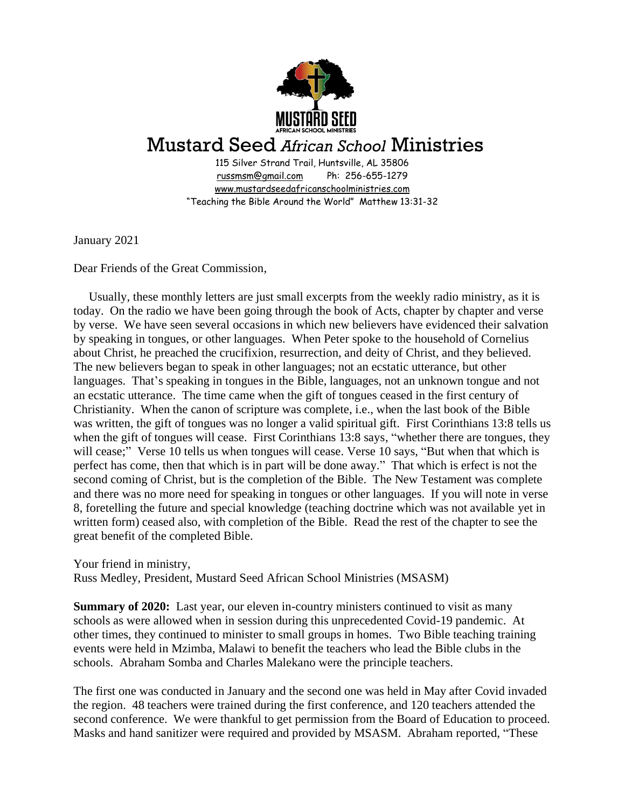

## Mustard Seed *African School* Ministries

115 Silver Strand Trail, Huntsville, AL 35806 [russmsm@gmail.com](mailto:russmsm@gmail.com) Ph: 256-655-1279 [www.mustardseedafricanschoolministries.com](http://www.mustardseedafricanschoolministries.com/) "Teaching the Bible Around the World" Matthew 13:31-32

January 2021

Dear Friends of the Great Commission,

 Usually, these monthly letters are just small excerpts from the weekly radio ministry, as it is today. On the radio we have been going through the book of Acts, chapter by chapter and verse by verse. We have seen several occasions in which new believers have evidenced their salvation by speaking in tongues, or other languages. When Peter spoke to the household of Cornelius about Christ, he preached the crucifixion, resurrection, and deity of Christ, and they believed. The new believers began to speak in other languages; not an ecstatic utterance, but other languages. That's speaking in tongues in the Bible, languages, not an unknown tongue and not an ecstatic utterance. The time came when the gift of tongues ceased in the first century of Christianity. When the canon of scripture was complete, i.e., when the last book of the Bible was written, the gift of tongues was no longer a valid spiritual gift. First Corinthians 13:8 tells us when the gift of tongues will cease. First Corinthians 13:8 says, "whether there are tongues, they will cease;" Verse 10 tells us when tongues will cease. Verse 10 says, "But when that which is perfect has come, then that which is in part will be done away." That which is erfect is not the second coming of Christ, but is the completion of the Bible. The New Testament was complete and there was no more need for speaking in tongues or other languages. If you will note in verse 8, foretelling the future and special knowledge (teaching doctrine which was not available yet in written form) ceased also, with completion of the Bible. Read the rest of the chapter to see the great benefit of the completed Bible.

Your friend in ministry, Russ Medley, President, Mustard Seed African School Ministries (MSASM)

**Summary of 2020:** Last year, our eleven in-country ministers continued to visit as many schools as were allowed when in session during this unprecedented Covid-19 pandemic. At other times, they continued to minister to small groups in homes. Two Bible teaching training events were held in Mzimba, Malawi to benefit the teachers who lead the Bible clubs in the schools. Abraham Somba and Charles Malekano were the principle teachers.

The first one was conducted in January and the second one was held in May after Covid invaded the region. 48 teachers were trained during the first conference, and 120 teachers attended the second conference. We were thankful to get permission from the Board of Education to proceed. Masks and hand sanitizer were required and provided by MSASM. Abraham reported, "These